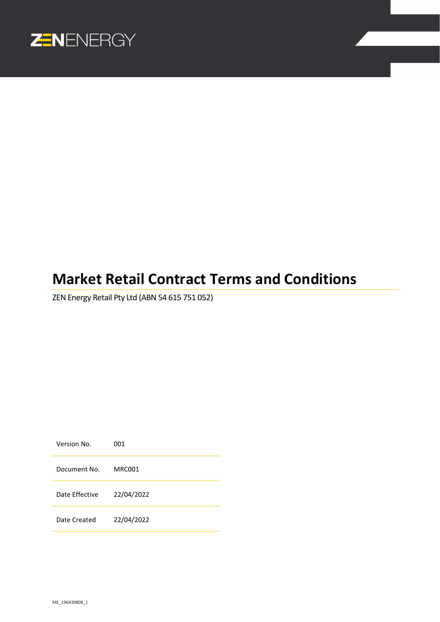

# **Market Retail Contract Terms and Conditions**

ZEN Energy Retail Pty Ltd (ABN 54 615 751 052)

Version No. 001 Document No. MRC001 Date Effective 22/04/2022 Date Created 22/04/2022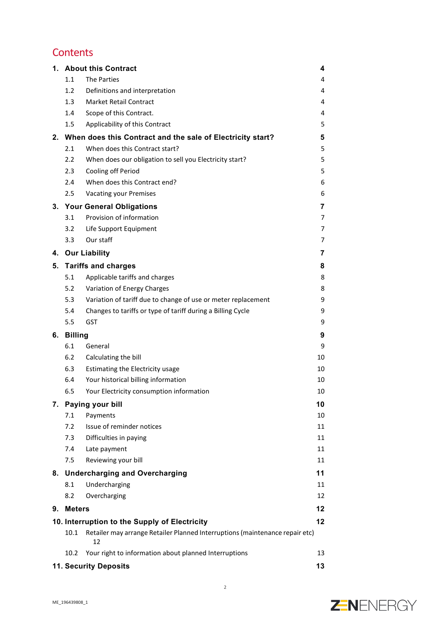# **Contents**

| 1.                                            |                                   | <b>About this Contract</b>                                                         | 4  |  |
|-----------------------------------------------|-----------------------------------|------------------------------------------------------------------------------------|----|--|
|                                               | 1.1                               | <b>The Parties</b>                                                                 | 4  |  |
|                                               | 1.2                               | Definitions and interpretation                                                     | 4  |  |
|                                               | 1.3                               | <b>Market Retail Contract</b>                                                      | 4  |  |
|                                               | 1.4                               | Scope of this Contract.                                                            | 4  |  |
|                                               | 1.5                               | Applicability of this Contract                                                     | 5  |  |
|                                               |                                   | 2. When does this Contract and the sale of Electricity start?                      | 5  |  |
|                                               | 2.1                               | When does this Contract start?                                                     | 5  |  |
|                                               | 2.2                               | When does our obligation to sell you Electricity start?                            | 5  |  |
|                                               | 2.3                               | Cooling off Period                                                                 | 5  |  |
|                                               | 2.4                               | When does this Contract end?                                                       | 6  |  |
|                                               | 2.5                               | Vacating your Premises                                                             | 6  |  |
|                                               |                                   | 3. Your General Obligations                                                        | 7  |  |
|                                               | 3.1                               | Provision of information                                                           | 7  |  |
|                                               | 3.2                               | Life Support Equipment                                                             | 7  |  |
|                                               | 3.3                               | Our staff                                                                          | 7  |  |
|                                               |                                   | 4. Our Liability                                                                   | 7  |  |
| 5.                                            | <b>Tariffs and charges</b>        |                                                                                    |    |  |
|                                               | 5.1                               | Applicable tariffs and charges                                                     | 8  |  |
|                                               | 5.2                               | Variation of Energy Charges                                                        | 8  |  |
|                                               | 5.3                               | Variation of tariff due to change of use or meter replacement                      | 9  |  |
|                                               | 5.4                               | Changes to tariffs or type of tariff during a Billing Cycle                        | 9  |  |
|                                               | 5.5                               | GST                                                                                | 9  |  |
| 6.                                            | <b>Billing</b>                    |                                                                                    |    |  |
|                                               | 6.1                               | General                                                                            | 9  |  |
|                                               | 6.2                               | Calculating the bill                                                               | 10 |  |
|                                               | 6.3                               | Estimating the Electricity usage                                                   | 10 |  |
|                                               | 6.4                               | Your historical billing information                                                | 10 |  |
|                                               | 6.5                               | Your Electricity consumption information                                           | 10 |  |
|                                               | 7. Paying your bill               |                                                                                    |    |  |
|                                               | 7.1                               | Payments                                                                           | 10 |  |
|                                               | 7.2                               | Issue of reminder notices                                                          | 11 |  |
|                                               | 7.3                               | Difficulties in paying                                                             | 11 |  |
|                                               | 7.4                               | Late payment                                                                       | 11 |  |
|                                               | 7.5                               | Reviewing your bill                                                                | 11 |  |
|                                               | 8. Undercharging and Overcharging |                                                                                    | 11 |  |
|                                               | 8.1                               | Undercharging                                                                      | 11 |  |
|                                               | 8.2                               | Overcharging                                                                       | 12 |  |
| 9.                                            | <b>Meters</b>                     |                                                                                    | 12 |  |
| 10. Interruption to the Supply of Electricity |                                   |                                                                                    |    |  |
|                                               | 10.1                              | Retailer may arrange Retailer Planned Interruptions (maintenance repair etc)<br>12 | 12 |  |
|                                               | 10.2                              | Your right to information about planned Interruptions                              | 13 |  |
|                                               |                                   | <b>11. Security Deposits</b>                                                       | 13 |  |

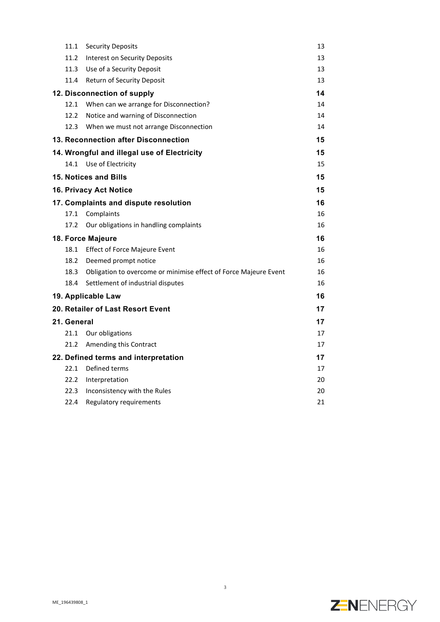|                                             | 11.1                        | <b>Security Deposits</b>                                         | 13 |
|---------------------------------------------|-----------------------------|------------------------------------------------------------------|----|
|                                             | 11.2                        | Interest on Security Deposits                                    | 13 |
|                                             | 11.3                        | Use of a Security Deposit                                        | 13 |
|                                             | 11.4                        | Return of Security Deposit                                       | 13 |
|                                             | 12. Disconnection of supply |                                                                  |    |
|                                             | 12.1                        | When can we arrange for Disconnection?                           | 14 |
|                                             | 12.2                        | Notice and warning of Disconnection                              | 14 |
|                                             | 12.3                        | When we must not arrange Disconnection                           | 14 |
|                                             |                             | 13. Reconnection after Disconnection                             | 15 |
| 14. Wrongful and illegal use of Electricity |                             |                                                                  | 15 |
|                                             | 14.1                        | Use of Electricity                                               | 15 |
|                                             |                             | 15. Notices and Bills                                            | 15 |
|                                             |                             | <b>16. Privacy Act Notice</b>                                    | 15 |
| 17. Complaints and dispute resolution       |                             |                                                                  | 16 |
|                                             | 17.1                        | Complaints                                                       | 16 |
|                                             | 17.2                        | Our obligations in handling complaints                           | 16 |
|                                             | 18. Force Majeure           |                                                                  |    |
|                                             |                             | 18.1 Effect of Force Majeure Event                               | 16 |
|                                             | 18.2                        | Deemed prompt notice                                             | 16 |
|                                             | 18.3                        | Obligation to overcome or minimise effect of Force Majeure Event | 16 |
|                                             | 18.4                        | Settlement of industrial disputes                                | 16 |
|                                             |                             | 19. Applicable Law                                               | 16 |
|                                             |                             | 20. Retailer of Last Resort Event                                | 17 |
|                                             | 21. General                 |                                                                  | 17 |
|                                             | 21.1                        | Our obligations                                                  | 17 |
|                                             | 21.2                        | Amending this Contract                                           | 17 |
| 22. Defined terms and interpretation        |                             |                                                                  |    |
|                                             | 22.1                        | Defined terms                                                    | 17 |
|                                             | 22.2                        | Interpretation                                                   | 20 |
|                                             | 22.3                        | Inconsistency with the Rules                                     | 20 |
|                                             | 22.4                        | Regulatory requirements                                          | 21 |

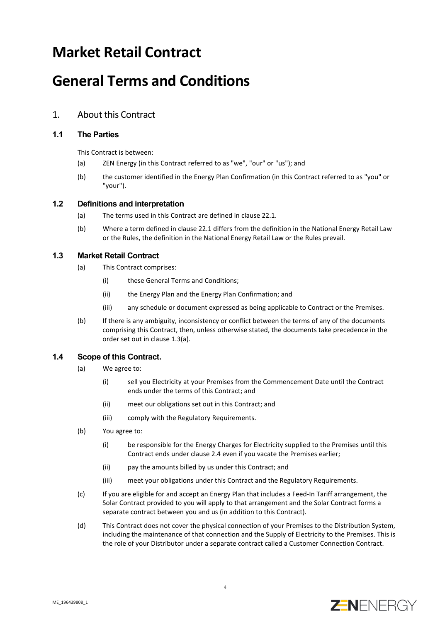# **Market Retail Contract**

# **General Terms and Conditions**

# 1. About this Contract

# **1.1 The Parties**

This Contract is between:

- (a) ZEN Energy (in this Contract referred to as "we", "our" or "us"); and
- (b) the customer identified in the Energy Plan Confirmation (in this Contract referred to as "you" or "your").

## **1.2 Definitions and interpretation**

- (a) The terms used in this Contract are defined in claus[e 22.1.](#page-16-0)
- (b) Where a term defined in clause [22.1](#page-16-0) differs from the definition in the National Energy Retail Law or the Rules, the definition in the National Energy Retail Law or the Rules prevail.

## <span id="page-3-0"></span>**1.3 Market Retail Contract**

- (a) This Contract comprises:
	- (i) these General Terms and Conditions;
	- (ii) the Energy Plan and the Energy Plan Confirmation; and
	- (iii) any schedule or document expressed as being applicable to Contract or the Premises.
- (b) If there is any ambiguity, inconsistency or conflict between the terms of any of the documents comprising this Contract, then, unless otherwise stated, the documents take precedence in the order set out in clause [1.3\(a\).](#page-3-0)

# **1.4 Scope of this Contract.**

- (a) We agree to:
	- (i) sell you Electricity at your Premises from the Commencement Date until the Contract ends under the terms of this Contract; and
	- (ii) meet our obligations set out in this Contract; and
	- (iii) comply with the Regulatory Requirements.
- (b) You agree to:
	- (i) be responsible for the Energy Charges for Electricity supplied to the Premises until this Contract ends under clause [2.4](#page-5-0) even if you vacate the Premises earlier;
	- (ii) pay the amounts billed by us under this Contract; and
	- (iii) meet your obligations under this Contract and the Regulatory Requirements.
- (c) If you are eligible for and accept an Energy Plan that includes a Feed-In Tariff arrangement, the Solar Contract provided to you will apply to that arrangement and the Solar Contract forms a separate contract between you and us (in addition to this Contract).
- (d) This Contract does not cover the physical connection of your Premises to the Distribution System, including the maintenance of that connection and the Supply of Electricity to the Premises. This is the role of your Distributor under a separate contract called a Customer Connection Contract.

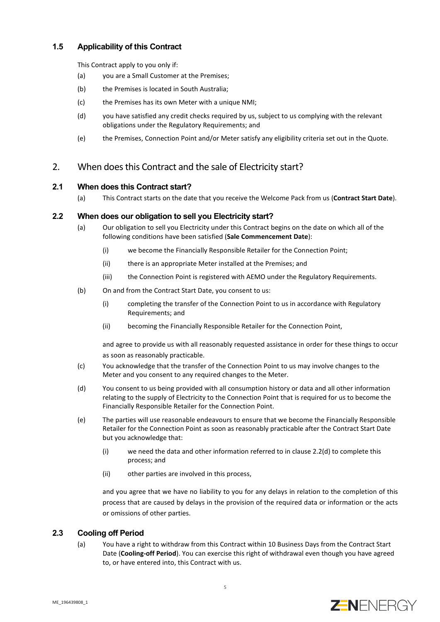# **1.5 Applicability of this Contract**

This Contract apply to you only if:

- (a) you are a Small Customer at the Premises;
- (b) the Premises is located in South Australia;
- (c) the Premises has its own Meter with a unique NMI;
- (d) you have satisfied any credit checks required by us, subject to us complying with the relevant obligations under the Regulatory Requirements; and
- (e) the Premises, Connection Point and/or Meter satisfy any eligibility criteria set out in the Quote.

# 2. When does this Contract and the sale of Electricity start?

# <span id="page-4-1"></span>**2.1 When does this Contract start?**

(a) This Contract starts on the date that you receive the Welcome Pack from us (**Contract Start Date**).

## **2.2 When does our obligation to sell you Electricity start?**

- (a) Our obligation to sell you Electricity under this Contract begins on the date on which all of the following conditions have been satisfied (**Sale Commencement Date**):
	- (i) we become the Financially Responsible Retailer for the Connection Point;
	- (ii) there is an appropriate Meter installed at the Premises; and
	- (iii) the Connection Point is registered with AEMO under the Regulatory Requirements.
- (b) On and from the Contract Start Date, you consent to us:
	- (i) completing the transfer of the Connection Point to us in accordance with Regulatory Requirements; and
	- (ii) becoming the Financially Responsible Retailer for the Connection Point,

and agree to provide us with all reasonably requested assistance in order for these things to occur as soon as reasonably practicable.

- (c) You acknowledge that the transfer of the Connection Point to us may involve changes to the Meter and you consent to any required changes to the Meter.
- <span id="page-4-0"></span>(d) You consent to us being provided with all consumption history or data and all other information relating to the supply of Electricity to the Connection Point that is required for us to become the Financially Responsible Retailer for the Connection Point.
- (e) The parties will use reasonable endeavours to ensure that we become the Financially Responsible Retailer for the Connection Point as soon as reasonably practicable after the Contract Start Date but you acknowledge that:
	- (i) we need the data and other information referred to in claus[e 2.2\(d\)](#page-4-0) to complete this process; and
	- (ii) other parties are involved in this process,

and you agree that we have no liability to you for any delays in relation to the completion of this process that are caused by delays in the provision of the required data or information or the acts or omissions of other parties.

## <span id="page-4-2"></span>**2.3 Cooling off Period**

(a) You have a right to withdraw from this Contract within 10 Business Days from the Contract Start Date (**Cooling-off Period**). You can exercise this right of withdrawal even though you have agreed to, or have entered into, this Contract with us.

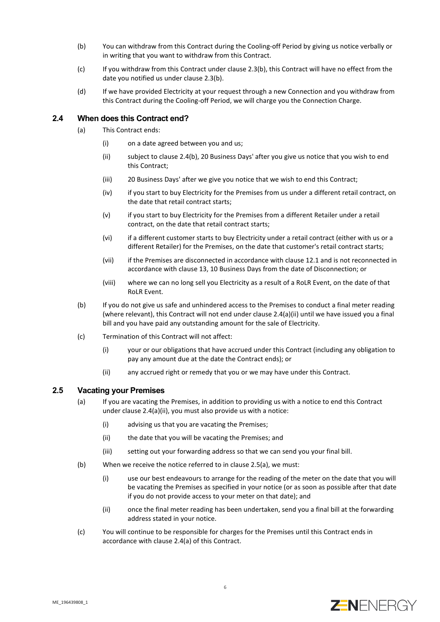- <span id="page-5-1"></span>(b) You can withdraw from this Contract during the Cooling-off Period by giving us notice verbally or in writing that you want to withdraw from this Contract.
- (c) If you withdraw from this Contract under claus[e 2.3\(b\),](#page-5-1) this Contract will have no effect from the date you notified us under claus[e 2.3\(b\).](#page-5-1)
- (d) If we have provided Electricity at your request through a new Connection and you withdraw from this Contract during the Cooling-off Period, we will charge you the Connection Charge.

#### <span id="page-5-5"></span><span id="page-5-0"></span>**2.4 When does this Contract end?**

- <span id="page-5-3"></span>(a) This Contract ends:
	- (i) on a date agreed between you and us;
	- (ii) subject to claus[e 2.4\(b\),](#page-5-2) 20 Business Days' after you give us notice that you wish to end this Contract;
	- (iii) 20 Business Days' after we give you notice that we wish to end this Contract;
	- (iv) if you start to buy Electricity for the Premises from us under a different retail contract, on the date that retail contract starts;
	- (v) if you start to buy Electricity for the Premises from a different Retailer under a retail contract, on the date that retail contract starts;
	- (vi) if a different customer starts to buy Electricity under a retail contract (either with us or a different Retailer) for the Premises, on the date that customer's retail contract starts;
	- (vii) if the Premises are disconnected in accordance with clause [12.1](#page-13-0) and is not reconnected in accordance with claus[e 13,](#page-14-0) 10 Business Days from the date of Disconnection; or
	- (viii) where we can no long sell you Electricity as a result of a RoLR Event, on the date of that RoLR Event.
- <span id="page-5-2"></span>(b) If you do not give us safe and unhindered access to the Premises to conduct a final meter reading (where relevant), this Contract will not end under claus[e 2.4\(a\)\(ii\)](#page-5-3) until we have issued you a final bill and you have paid any outstanding amount for the sale of Electricity.
- (c) Termination of this Contract will not affect:
	- (i) your or our obligations that have accrued under this Contract (including any obligation to pay any amount due at the date the Contract ends); or
	- (ii) any accrued right or remedy that you or we may have under this Contract.

#### <span id="page-5-4"></span>**2.5 Vacating your Premises**

- (a) If you are vacating the Premises, in addition to providing us with a notice to end this Contract under clause [2.4\(a\)\(ii\),](#page-5-3) you must also provide us with a notice:
	- (i) advising us that you are vacating the Premises;
	- (ii) the date that you will be vacating the Premises; and
	- (iii) setting out your forwarding address so that we can send you your final bill.
- (b) When we receive the notice referred to in claus[e 2.5\(a\),](#page-5-4) we must:
	- (i) use our best endeavours to arrange for the reading of the meter on the date that you will be vacating the Premises as specified in your notice (or as soon as possible after that date if you do not provide access to your meter on that date); and
	- (ii) once the final meter reading has been undertaken, send you a final bill at the forwarding address stated in your notice.
- (c) You will continue to be responsible for charges for the Premises until this Contract ends in accordance with claus[e 2.4\(a\)](#page-5-5) of this Contract.

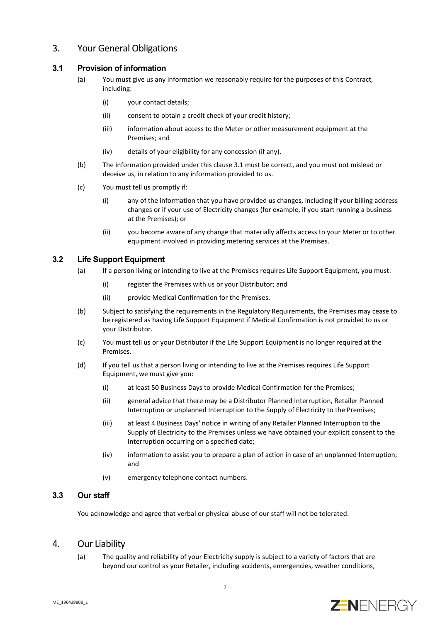# 3. Your General Obligations

## <span id="page-6-0"></span>**3.1 Provision of information**

- (a) You must give us any information we reasonably require for the purposes of this Contract, including:
	- (i) your contact details;
	- (ii) consent to obtain a credit check of your credit history;
	- (iii) information about access to the Meter or other measurement equipment at the Premises; and
	- (iv) details of your eligibility for any concession (if any).
- (b) The information provided under this claus[e 3.1](#page-6-0) must be correct, and you must not mislead or deceive us, in relation to any information provided to us.
- (c) You must tell us promptly if:
	- (i) any of the information that you have provided us changes, including if your billing address changes or if your use of Electricity changes (for example, if you start running a business at the Premises); or
	- (ii) you become aware of any change that materially affects access to your Meter or to other equipment involved in providing metering services at the Premises.

#### **3.2 Life Support Equipment**

- (a) If a person living or intending to live at the Premises requires Life Support Equipment, you must:
	- (i) register the Premises with us or your Distributor; and
	- (ii) provide Medical Confirmation for the Premises.
- (b) Subject to satisfying the requirements in the Regulatory Requirements, the Premises may cease to be registered as having Life Support Equipment if Medical Confirmation is not provided to us or your Distributor.
- (c) You must tell us or your Distributor if the Life Support Equipment is no longer required at the Premises.
- <span id="page-6-1"></span>(d) If you tell us that a person living or intending to live at the Premises requires Life Support Equipment, we must give you:
	- (i) at least 50 Business Days to provide Medical Confirmation for the Premises;
	- (ii) general advice that there may be a Distributor Planned Interruption, Retailer Planned Interruption or unplanned Interruption to the Supply of Electricity to the Premises;
	- (iii) at least 4 Business Days' notice in writing of any Retailer Planned Interruption to the Supply of Electricity to the Premises unless we have obtained your explicit consent to the Interruption occurring on a specified date;
	- (iv) information to assist you to prepare a plan of action in case of an unplanned Interruption; and
	- (v) emergency telephone contact numbers.

## **3.3 Our staff**

You acknowledge and agree that verbal or physical abuse of our staff will not be tolerated.

# 4. Our Liability

(a) The quality and reliability of your Electricity supply is subject to a variety of factors that are beyond our control as your Retailer, including accidents, emergencies, weather conditions,

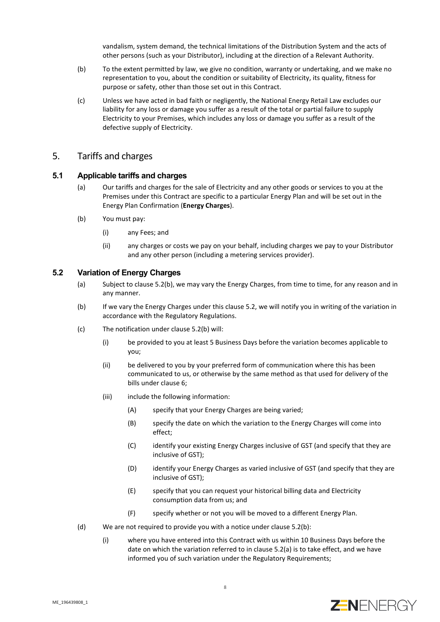vandalism, system demand, the technical limitations of the Distribution System and the acts of other persons (such as your Distributor), including at the direction of a Relevant Authority.

- (b) To the extent permitted by law, we give no condition, warranty or undertaking, and we make no representation to you, about the condition or suitability of Electricity, its quality, fitness for purpose or safety, other than those set out in this Contract.
- (c) Unless we have acted in bad faith or negligently, the National Energy Retail Law excludes our liability for any loss or damage you suffer as a result of the total or partial failure to supply Electricity to your Premises, which includes any loss or damage you suffer as a result of the defective supply of Electricity.

#### 5. Tariffs and charges

#### <span id="page-7-6"></span>**5.1 Applicable tariffs and charges**

- (a) Our tariffs and charges for the sale of Electricity and any other goods or services to you at the Premises under this Contract are specific to a particular Energy Plan and will be set out in the Energy Plan Confirmation (**Energy Charges**).
- (b) You must pay:
	- (i) any Fees; and
	- (ii) any charges or costs we pay on your behalf, including charges we pay to your Distributor and any other person (including a metering services provider).

## <span id="page-7-2"></span><span id="page-7-1"></span>**5.2 Variation of Energy Charges**

- (a) Subject to clause [5.2\(b\),](#page-7-0) we may vary the Energy Charges, from time to time, for any reason and in any manner.
- <span id="page-7-0"></span>(b) If we vary the Energy Charges under this claus[e 5.2,](#page-7-1) we will notify you in writing of the variation in accordance with the Regulatory Regulations.
- <span id="page-7-5"></span><span id="page-7-4"></span><span id="page-7-3"></span>(c) The notification under claus[e 5.2\(b\)](#page-7-0) will:
	- (i) be provided to you at least 5 Business Days before the variation becomes applicable to you;
	- (ii) be delivered to you by your preferred form of communication where this has been communicated to us, or otherwise by the same method as that used for delivery of the bills under claus[e 6;](#page-8-0)
	- (iii) include the following information:
		- (A) specify that your Energy Charges are being varied;
		- (B) specify the date on which the variation to the Energy Charges will come into effect;
		- (C) identify your existing Energy Charges inclusive of GST (and specify that they are inclusive of GST);
		- (D) identify your Energy Charges as varied inclusive of GST (and specify that they are inclusive of GST);
		- (E) specify that you can request your historical billing data and Electricity consumption data from us; and
		- (F) specify whether or not you will be moved to a different Energy Plan.
- <span id="page-7-7"></span>(d) We are not required to provide you with a notice under claus[e 5.2\(b\):](#page-7-0)
	- (i) where you have entered into this Contract with us within 10 Business Days before the date on which the variation referred to in claus[e 5.2\(a\)](#page-7-2) is to take effect, and we have informed you of such variation under the Regulatory Requirements;

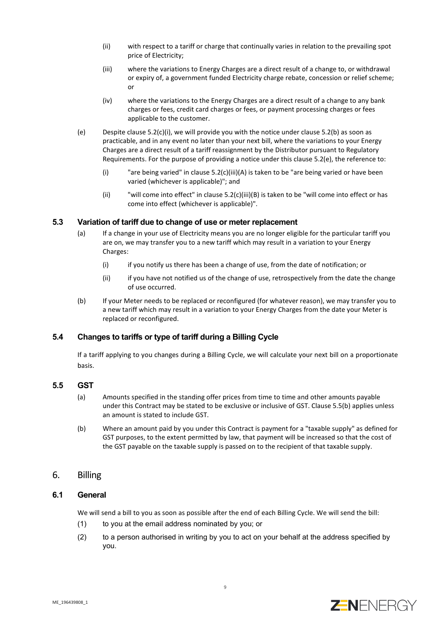- (ii) with respect to a tariff or charge that continually varies in relation to the prevailing spot price of Electricity;
- (iii) where the variations to Energy Charges are a direct result of a change to, or withdrawal or expiry of, a government funded Electricity charge rebate, concession or relief scheme; or
- (iv) where the variations to the Energy Charges are a direct result of a change to any bank charges or fees, credit card charges or fees, or payment processing charges or fees applicable to the customer.
- <span id="page-8-1"></span>(e) Despite clause [5.2\(c\)\(i\),](#page-7-3) we will provide you with the notice under claus[e 5.2\(b\)](#page-7-0) as soon as practicable, and in any event no later than your next bill, where the variations to your Energy Charges are a direct result of a tariff reassignment by the Distributor pursuant to Regulatory Requirements. For the purpose of providing a notice under this claus[e 5.2\(e\),](#page-8-1) the reference to:
	- (i) "are being varied" in clause [5.2\(c\)\(iii\)\(A\)](#page-7-4) is taken to be "are being varied or have been varied (whichever is applicable)"; and
	- (ii) "will come into effect" in clause [5.2\(c\)\(iii\)\(B\)](#page-7-5) is taken to be "will come into effect or has come into effect (whichever is applicable)".

#### **5.3 Variation of tariff due to change of use or meter replacement**

- (a) If a change in your use of Electricity means you are no longer eligible for the particular tariff you are on, we may transfer you to a new tariff which may result in a variation to your Energy Charges:
	- (i) if you notify us there has been a change of use, from the date of notification; or
	- (ii) if you have not notified us of the change of use, retrospectively from the date the change of use occurred.
- (b) If your Meter needs to be replaced or reconfigured (for whatever reason), we may transfer you to a new tariff which may result in a variation to your Energy Charges from the date your Meter is replaced or reconfigured.

#### **5.4 Changes to tariffs or type of tariff during a Billing Cycle**

If a tariff applying to you changes during a Billing Cycle, we will calculate your next bill on a proportionate basis.

#### **5.5 GST**

- (a) Amounts specified in the standing offer prices from time to time and other amounts payable under this Contract may be stated to be exclusive or inclusive of GST. Claus[e 5.5\(b\)](#page-8-2) applies unless an amount is stated to include GST.
- <span id="page-8-2"></span>(b) Where an amount paid by you under this Contract is payment for a "taxable supply" as defined for GST purposes, to the extent permitted by law, that payment will be increased so that the cost of the GST payable on the taxable supply is passed on to the recipient of that taxable supply.

## <span id="page-8-0"></span>6. Billing

#### **6.1 General**

We will send a bill to you as soon as possible after the end of each Billing Cycle. We will send the bill:

- (1) to you at the email address nominated by you; or
- (2) to a person authorised in writing by you to act on your behalf at the address specified by you.

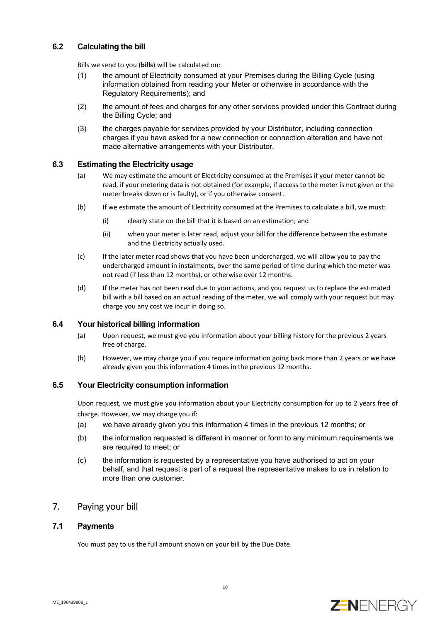## <span id="page-9-0"></span>**6.2 Calculating the bill**

Bills we send to you (**bills**) will be calculated on:

- (1) the amount of Electricity consumed at your Premises during the Billing Cycle (using information obtained from reading your Meter or otherwise in accordance with the Regulatory Requirements); and
- (2) the amount of fees and charges for any other services provided under this Contract during the Billing Cycle; and
- (3) the charges payable for services provided by your Distributor, including connection charges if you have asked for a new connection or connection alteration and have not made alternative arrangements with your Distributor.

#### **6.3 Estimating the Electricity usage**

- (a) We may estimate the amount of Electricity consumed at the Premises if your meter cannot be read, if your metering data is not obtained (for example, if access to the meter is not given or the meter breaks down or is faulty), or if you otherwise consent.
- (b) If we estimate the amount of Electricity consumed at the Premises to calculate a bill, we must:
	- (i) clearly state on the bill that it is based on an estimation; and
	- (ii) when your meter is later read, adjust your bill for the difference between the estimate and the Electricity actually used.
- (c) If the later meter read shows that you have been undercharged, we will allow you to pay the undercharged amount in instalments, over the same period of time during which the meter was not read (if less than 12 months), or otherwise over 12 months.
- (d) If the meter has not been read due to your actions, and you request us to replace the estimated bill with a bill based on an actual reading of the meter, we will comply with your request but may charge you any cost we incur in doing so.

#### **6.4 Your historical billing information**

- (a) Upon request, we must give you information about your billing history for the previous 2 years free of charge.
- (b) However, we may charge you if you require information going back more than 2 years or we have already given you this information 4 times in the previous 12 months.

#### **6.5 Your Electricity consumption information**

Upon request, we must give you information about your Electricity consumption for up to 2 years free of charge. However, we may charge you if:

- (a) we have already given you this information 4 times in the previous 12 months; or
- (b) the information requested is different in manner or form to any minimum requirements we are required to meet; or
- (c) the information is requested by a representative you have authorised to act on your behalf, and that request is part of a request the representative makes to us in relation to more than one customer.

# 7. Paying your bill

#### **7.1 Payments**

You must pay to us the full amount shown on your bill by the Due Date.

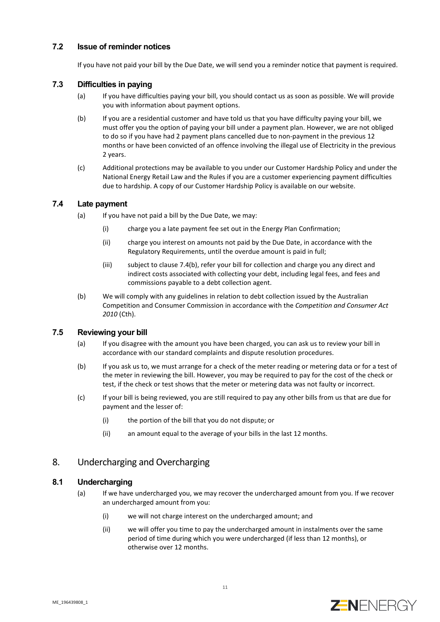## **7.2 Issue of reminder notices**

If you have not paid your bill by the Due Date, we will send you a reminder notice that payment is required.

## **7.3 Difficulties in paying**

- (a) If you have difficulties paying your bill, you should contact us as soon as possible. We will provide you with information about payment options.
- (b) If you are a residential customer and have told us that you have difficulty paying your bill, we must offer you the option of paying your bill under a payment plan. However, we are not obliged to do so if you have had 2 payment plans cancelled due to non-payment in the previous 12 months or have been convicted of an offence involving the illegal use of Electricity in the previous 2 years.
- (c) Additional protections may be available to you under our Customer Hardship Policy and under the National Energy Retail Law and the Rules if you are a customer experiencing payment difficulties due to hardship. A copy of our Customer Hardship Policy is available on our website.

#### **7.4 Late payment**

- (a) If you have not paid a bill by the Due Date, we may:
	- (i) charge you a late payment fee set out in the Energy Plan Confirmation;
	- (ii) charge you interest on amounts not paid by the Due Date, in accordance with the Regulatory Requirements, until the overdue amount is paid in full;
	- (iii) subject to clause [7.4\(b\),](#page-10-0) refer your bill for collection and charge you any direct and indirect costs associated with collecting your debt, including legal fees, and fees and commissions payable to a debt collection agent.
- <span id="page-10-0"></span>(b) We will comply with any guidelines in relation to debt collection issued by the Australian Competition and Consumer Commission in accordance with the *Competition and Consumer Act 2010* (Cth).

## **7.5 Reviewing your bill**

- (a) If you disagree with the amount you have been charged, you can ask us to review your bill in accordance with our standard complaints and dispute resolution procedures.
- (b) If you ask us to, we must arrange for a check of the meter reading or metering data or for a test of the meter in reviewing the bill. However, you may be required to pay for the cost of the check or test, if the check or test shows that the meter or metering data was not faulty or incorrect.
- (c) If your bill is being reviewed, you are still required to pay any other bills from us that are due for payment and the lesser of:
	- (i) the portion of the bill that you do not dispute; or
	- (ii) an amount equal to the average of your bills in the last 12 months.

## 8. Undercharging and Overcharging

# **8.1 Undercharging**

- (a) If we have undercharged you, we may recover the undercharged amount from you. If we recover an undercharged amount from you:
	- (i) we will not charge interest on the undercharged amount; and
	- (ii) we will offer you time to pay the undercharged amount in instalments over the same period of time during which you were undercharged (if less than 12 months), or otherwise over 12 months.

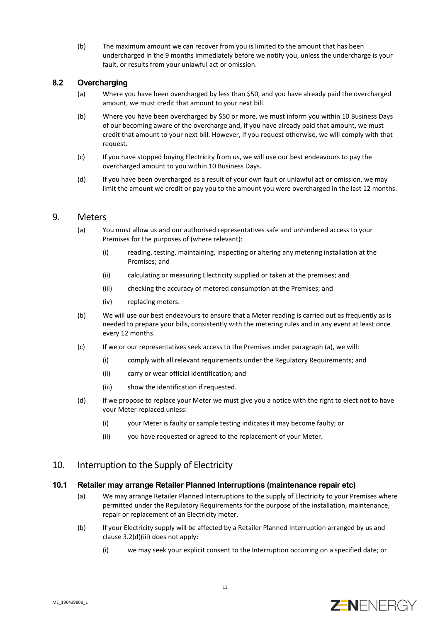(b) The maximum amount we can recover from you is limited to the amount that has been undercharged in the 9 months immediately before we notify you, unless the undercharge is your fault, or results from your unlawful act or omission.

## **8.2 Overcharging**

- (a) Where you have been overcharged by less than \$50, and you have already paid the overcharged amount, we must credit that amount to your next bill.
- (b) Where you have been overcharged by \$50 or more, we must inform you within 10 Business Days of our becoming aware of the overcharge and, if you have already paid that amount, we must credit that amount to your next bill. However, if you request otherwise, we will comply with that request.
- (c) If you have stopped buying Electricity from us, we will use our best endeavours to pay the overcharged amount to you within 10 Business Days.
- (d) If you have been overcharged as a result of your own fault or unlawful act or omission, we may limit the amount we credit or pay you to the amount you were overcharged in the last 12 months.

## <span id="page-11-0"></span>9. Meters

- (a) You must allow us and our authorised representatives safe and unhindered access to your Premises for the purposes of (where relevant):
	- (i) reading, testing, maintaining, inspecting or altering any metering installation at the Premises; and
	- (ii) calculating or measuring Electricity supplied or taken at the premises; and
	- (iii) checking the accuracy of metered consumption at the Premises; and
	- (iv) replacing meters.
- (b) We will use our best endeavours to ensure that a Meter reading is carried out as frequently as is needed to prepare your bills, consistently with the metering rules and in any event at least once every 12 months.
- (c) If we or our representatives seek access to the Premises under paragraph (a), we will:
	- (i) comply with all relevant requirements under the Regulatory Requirements; and
	- (ii) carry or wear official identification; and
	- (iii) show the identification if requested.
- (d) If we propose to replace your Meter we must give you a notice with the right to elect not to have your Meter replaced unless:
	- (i) your Meter is faulty or sample testing indicates it may become faulty; or
	- (ii) you have requested or agreed to the replacement of your Meter.

## 10. Interruption to the Supply of Electricity

#### **10.1 Retailer may arrange Retailer Planned Interruptions (maintenance repair etc)**

- (a) We may arrange Retailer Planned Interruptions to the supply of Electricity to your Premises where permitted under the Regulatory Requirements for the purpose of the installation, maintenance, repair or replacement of an Electricity meter.
- (b) If your Electricity supply will be affected by a Retailer Planned Interruption arranged by us and claus[e 3.2\(d\)\(iii\)](#page-6-1) does not apply:
	- (i) we may seek your explicit consent to the Interruption occurring on a specified date; or

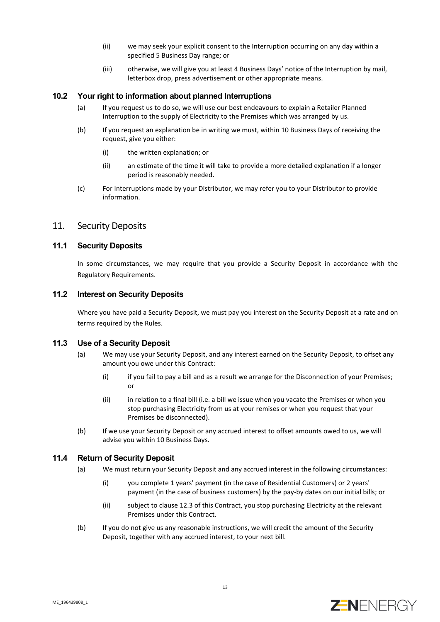- (ii) we may seek your explicit consent to the Interruption occurring on any day within a specified 5 Business Day range; or
- (iii) otherwise, we will give you at least 4 Business Days' notice of the Interruption by mail, letterbox drop, press advertisement or other appropriate means.

#### **10.2 Your right to information about planned Interruptions**

- (a) If you request us to do so, we will use our best endeavours to explain a Retailer Planned Interruption to the supply of Electricity to the Premises which was arranged by us.
- (b) If you request an explanation be in writing we must, within 10 Business Days of receiving the request, give you either:
	- (i) the written explanation; or
	- (ii) an estimate of the time it will take to provide a more detailed explanation if a longer period is reasonably needed.
- (c) For Interruptions made by your Distributor, we may refer you to your Distributor to provide information.

## 11. Security Deposits

#### **11.1 Security Deposits**

In some circumstances, we may require that you provide a Security Deposit in accordance with the Regulatory Requirements.

#### **11.2 Interest on Security Deposits**

Where you have paid a Security Deposit, we must pay you interest on the Security Deposit at a rate and on terms required by the Rules.

#### **11.3 Use of a Security Deposit**

- (a) We may use your Security Deposit, and any interest earned on the Security Deposit, to offset any amount you owe under this Contract:
	- (i) if you fail to pay a bill and as a result we arrange for the Disconnection of your Premises; or
	- (ii) in relation to a final bill (i.e. a bill we issue when you vacate the Premises or when you stop purchasing Electricity from us at your remises or when you request that your Premises be disconnected).
- (b) If we use your Security Deposit or any accrued interest to offset amounts owed to us, we will advise you within 10 Business Days.

#### **11.4 Return of Security Deposit**

- (a) We must return your Security Deposit and any accrued interest in the following circumstances:
	- (i) you complete 1 years' payment (in the case of Residential Customers) or 2 years' payment (in the case of business customers) by the pay-by dates on our initial bills; or
	- (ii) subject to claus[e 12.3](#page-13-1) of this Contract, you stop purchasing Electricity at the relevant Premises under this Contract.
- (b) If you do not give us any reasonable instructions, we will credit the amount of the Security Deposit, together with any accrued interest, to your next bill.

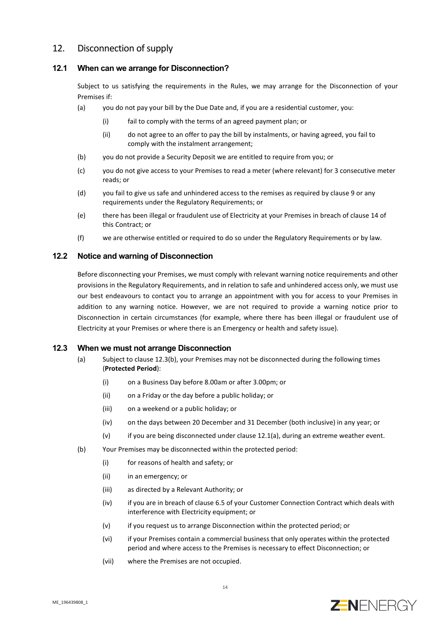# 12. Disconnection of supply

#### <span id="page-13-0"></span>**12.1 When can we arrange for Disconnection?**

Subject to us satisfying the requirements in the Rules, we may arrange for the Disconnection of your Premises if:

- <span id="page-13-3"></span>(a) you do not pay your bill by the Due Date and, if you are a residential customer, you:
	- (i) fail to comply with the terms of an agreed payment plan; or
	- (ii) do not agree to an offer to pay the bill by instalments, or having agreed, you fail to comply with the instalment arrangement;
- (b) you do not provide a Security Deposit we are entitled to require from you; or
- (c) you do not give access to your Premises to read a meter (where relevant) for 3 consecutive meter reads; or
- (d) you fail to give us safe and unhindered access to the remises as required by clause [9](#page-11-0) or any requirements under the Regulatory Requirements; or
- (e) there has been illegal or fraudulent use of Electricity at your Premises in breach of clause [14](#page-14-1) of this Contract; or
- (f) we are otherwise entitled or required to do so under the Regulatory Requirements or by law.

#### **12.2 Notice and warning of Disconnection**

Before disconnecting your Premises, we must comply with relevant warning notice requirements and other provisions in the Regulatory Requirements, and in relation to safe and unhindered access only, we must use our best endeavours to contact you to arrange an appointment with you for access to your Premises in addition to any warning notice. However, we are not required to provide a warning notice prior to Disconnection in certain circumstances (for example, where there has been illegal or fraudulent use of Electricity at your Premises or where there is an Emergency or health and safety issue).

#### <span id="page-13-4"></span><span id="page-13-1"></span>**12.3 When we must not arrange Disconnection**

- (a) Subject to clause [12.3\(b\),](#page-13-2) your Premises may not be disconnected during the following times (**Protected Period**):
	- (i) on a Business Day before 8.00am or after 3.00pm; or
	- (ii) on a Friday or the day before a public holiday; or
	- (iii) on a weekend or a public holiday; or
	- (iv) on the days between 20 December and 31 December (both inclusive) in any year; or
	- (v) if you are being disconnected under clause [12.1\(a\),](#page-13-3) during an extreme weather event.
- <span id="page-13-2"></span>(b) Your Premises may be disconnected within the protected period:
	- (i) for reasons of health and safety; or
	- (ii) in an emergency; or
	- (iii) as directed by a Relevant Authority; or
	- (iv) if you are in breach of clause 6.5 of your Customer Connection Contract which deals with interference with Electricity equipment; or
	- (v) if you request us to arrange Disconnection within the protected period; or
	- (vi) if your Premises contain a commercial business that only operates within the protected period and where access to the Premises is necessary to effect Disconnection; or
	- (vii) where the Premises are not occupied.

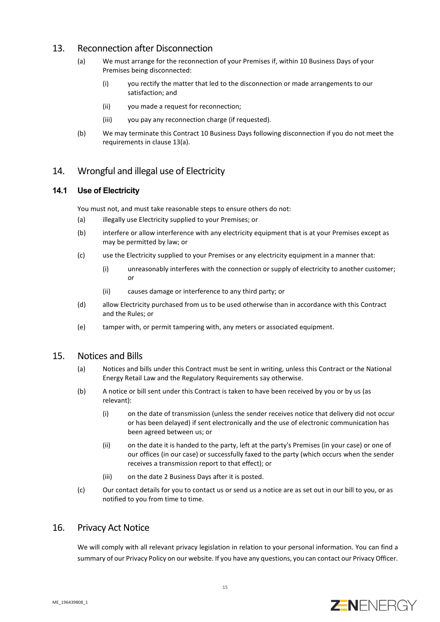# <span id="page-14-2"></span><span id="page-14-0"></span>13. Reconnection after Disconnection

- (a) We must arrange for the reconnection of your Premises if, within 10 Business Days of your Premises being disconnected:
	- (i) you rectify the matter that led to the disconnection or made arrangements to our satisfaction; and
	- (ii) you made a request for reconnection;
	- (iii) you pay any reconnection charge (if requested).
- (b) We may terminate this Contract 10 Business Days following disconnection if you do not meet the requirements in clause [13\(a\).](#page-14-2)

# <span id="page-14-1"></span>14. Wrongful and illegal use of Electricity

#### **14.1 Use of Electricity**

You must not, and must take reasonable steps to ensure others do not:

- (a) illegally use Electricity supplied to your Premises; or
- (b) interfere or allow interference with any electricity equipment that is at your Premises except as may be permitted by law; or
- (c) use the Electricity supplied to your Premises or any electricity equipment in a manner that:
	- (i) unreasonably interferes with the connection or supply of electricity to another customer; or
	- (ii) causes damage or interference to any third party; or
- (d) allow Electricity purchased from us to be used otherwise than in accordance with this Contract and the Rules; or
- (e) tamper with, or permit tampering with, any meters or associated equipment.

## 15. Notices and Bills

- (a) Notices and bills under this Contract must be sent in writing, unless this Contract or the National Energy Retail Law and the Regulatory Requirements say otherwise.
- (b) A notice or bill sent under this Contract is taken to have been received by you or by us (as relevant):
	- (i) on the date of transmission (unless the sender receives notice that delivery did not occur or has been delayed) if sent electronically and the use of electronic communication has been agreed between us; or
	- (ii) on the date it is handed to the party, left at the party's Premises (in your case) or one of our offices (in our case) or successfully faxed to the party (which occurs when the sender receives a transmission report to that effect); or
	- (iii) on the date 2 Business Days after it is posted.
- (c) Our contact details for you to contact us or send us a notice are as set out in our bill to you, or as notified to you from time to time.

# 16. Privacy Act Notice

We will comply with all relevant privacy legislation in relation to your personal information. You can find a summary of our Privacy Policy on our website. If you have any questions, you can contact our Privacy Officer.

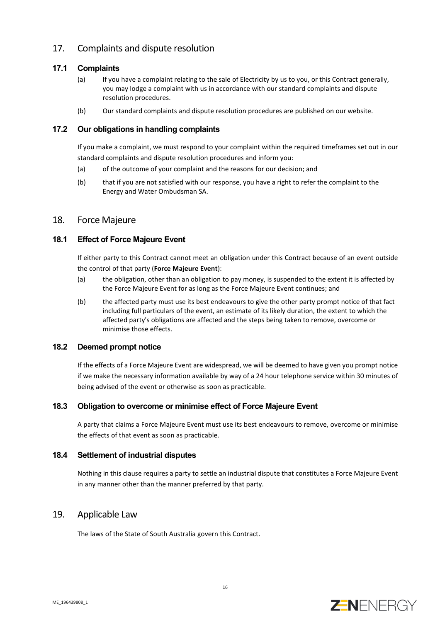# 17. Complaints and dispute resolution

## **17.1 Complaints**

- (a) If you have a complaint relating to the sale of Electricity by us to you, or this Contract generally, you may lodge a complaint with us in accordance with our standard complaints and dispute resolution procedures.
- (b) Our standard complaints and dispute resolution procedures are published on our website.

#### **17.2 Our obligations in handling complaints**

If you make a complaint, we must respond to your complaint within the required timeframes set out in our standard complaints and dispute resolution procedures and inform you:

- (a) of the outcome of your complaint and the reasons for our decision; and
- (b) that if you are not satisfied with our response, you have a right to refer the complaint to the Energy and Water Ombudsman SA.

## 18. Force Majeure

## <span id="page-15-0"></span>**18.1 Effect of Force Majeure Event**

If either party to this Contract cannot meet an obligation under this Contract because of an event outside the control of that party (**Force Majeure Event**):

- (a) the obligation, other than an obligation to pay money, is suspended to the extent it is affected by the Force Majeure Event for as long as the Force Majeure Event continues; and
- (b) the affected party must use its best endeavours to give the other party prompt notice of that fact including full particulars of the event, an estimate of its likely duration, the extent to which the affected party's obligations are affected and the steps being taken to remove, overcome or minimise those effects.

#### **18.2 Deemed prompt notice**

If the effects of a Force Majeure Event are widespread, we will be deemed to have given you prompt notice if we make the necessary information available by way of a 24 hour telephone service within 30 minutes of being advised of the event or otherwise as soon as practicable.

## **18.3 Obligation to overcome or minimise effect of Force Majeure Event**

A party that claims a Force Majeure Event must use its best endeavours to remove, overcome or minimise the effects of that event as soon as practicable.

#### **18.4 Settlement of industrial disputes**

Nothing in this clause requires a party to settle an industrial dispute that constitutes a Force Majeure Event in any manner other than the manner preferred by that party.

## 19. Applicable Law

The laws of the State of South Australia govern this Contract.

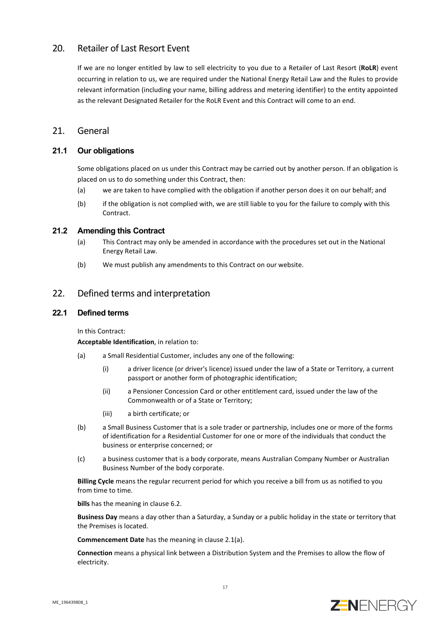# <span id="page-16-1"></span>20. Retailer of Last Resort Event

If we are no longer entitled by law to sell electricity to you due to a Retailer of Last Resort (**RoLR**) event occurring in relation to us, we are required under the National Energy Retail Law and the Rules to provide relevant information (including your name, billing address and metering identifier) to the entity appointed as the relevant Designated Retailer for the RoLR Event and this Contract will come to an end.

# 21. General

## **21.1 Our obligations**

Some obligations placed on us under this Contract may be carried out by another person. If an obligation is placed on us to do something under this Contract, then:

- (a) we are taken to have complied with the obligation if another person does it on our behalf; and
- (b) if the obligation is not complied with, we are still liable to you for the failure to comply with this Contract.

#### **21.2 Amending this Contract**

- (a) This Contract may only be amended in accordance with the procedures set out in the National Energy Retail Law.
- (b) We must publish any amendments to this Contract on our website.

# 22. Defined terms and interpretation

## <span id="page-16-0"></span>**22.1 Defined terms**

In this Contract:

**Acceptable Identification**, in relation to:

- (a) a Small Residential Customer, includes any one of the following:
	- (i) a driver licence (or driver's licence) issued under the law of a State or Territory, a current passport or another form of photographic identification;
	- (ii) a Pensioner Concession Card or other entitlement card, issued under the law of the Commonwealth or of a State or Territory;
	- (iii) a birth certificate; or
- (b) a Small Business Customer that is a sole trader or partnership, includes one or more of the forms of identification for a Residential Customer for one or more of the individuals that conduct the business or enterprise concerned; or
- (c) a business customer that is a body corporate, means Australian Company Number or Australian Business Number of the body corporate.

**Billing Cycle** means the regular recurrent period for which you receive a bill from us as notified to you from time to time.

**bills** has the meaning in clause [6.2.](#page-9-0)

**Business Day** means a day other than a Saturday, a Sunday or a public holiday in the state or territory that the Premises is located.

**Commencement Date** has the meaning in clause [2.1\(a\).](#page-4-1)

**Connection** means a physical link between a Distribution System and the Premises to allow the flow of electricity.

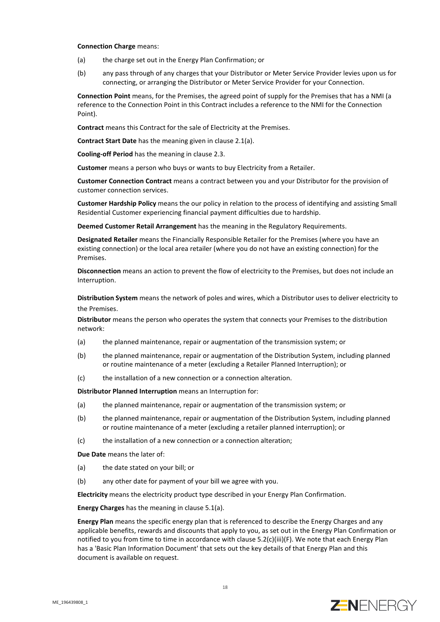#### **Connection Charge** means:

- (a) the charge set out in the Energy Plan Confirmation; or
- (b) any pass through of any charges that your Distributor or Meter Service Provider levies upon us for connecting, or arranging the Distributor or Meter Service Provider for your Connection.

**Connection Point** means, for the Premises, the agreed point of supply for the Premises that has a NMI (a reference to the Connection Point in this Contract includes a reference to the NMI for the Connection Point).

**Contract** means this Contract for the sale of Electricity at the Premises.

**Contract Start Date** has the meaning given in claus[e 2.1\(a\).](#page-4-1)

**Cooling-off Period** has the meaning in claus[e 2.3.](#page-4-2)

**Customer** means a person who buys or wants to buy Electricity from a Retailer.

**Customer Connection Contract** means a contract between you and your Distributor for the provision of customer connection services.

**Customer Hardship Policy** means the our policy in relation to the process of identifying and assisting Small Residential Customer experiencing financial payment difficulties due to hardship.

**Deemed Customer Retail Arrangement** has the meaning in the Regulatory Requirements.

**Designated Retailer** means the Financially Responsible Retailer for the Premises (where you have an existing connection) or the local area retailer (where you do not have an existing connection) for the Premises.

**Disconnection** means an action to prevent the flow of electricity to the Premises, but does not include an Interruption.

**Distribution System** means the network of poles and wires, which a Distributor uses to deliver electricity to the Premises.

**Distributor** means the person who operates the system that connects your Premises to the distribution network:

- (a) the planned maintenance, repair or augmentation of the transmission system; or
- (b) the planned maintenance, repair or augmentation of the Distribution System, including planned or routine maintenance of a meter (excluding a Retailer Planned Interruption); or
- (c) the installation of a new connection or a connection alteration.

**Distributor Planned Interruption** means an Interruption for:

- (a) the planned maintenance, repair or augmentation of the transmission system; or
- (b) the planned maintenance, repair or augmentation of the Distribution System, including planned or routine maintenance of a meter (excluding a retailer planned interruption); or
- (c) the installation of a new connection or a connection alteration;

**Due Date** means the later of:

- (a) the date stated on your bill; or
- (b) any other date for payment of your bill we agree with you.

**Electricity** means the electricity product type described in your Energy Plan Confirmation.

**Energy Charges** has the meaning in clause [5.1\(a\).](#page-7-6)

**Energy Plan** means the specific energy plan that is referenced to describe the Energy Charges and any applicable benefits, rewards and discounts that apply to you, as set out in the Energy Plan Confirmation or notified to you from time to time in accordance with claus[e 5.2\(c\)\(iii\)\(F\).](#page-7-7) We note that each Energy Plan has a 'Basic Plan Information Document' that sets out the key details of that Energy Plan and this document is available on request.

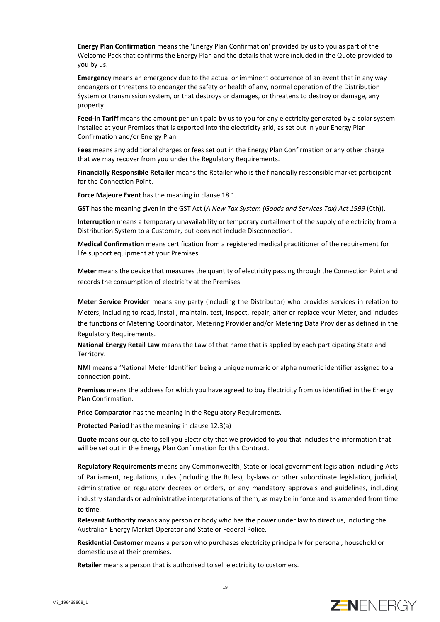**Energy Plan Confirmation** means the 'Energy Plan Confirmation' provided by us to you as part of the Welcome Pack that confirms the Energy Plan and the details that were included in the Quote provided to you by us.

**Emergency** means an emergency due to the actual or imminent occurrence of an event that in any way endangers or threatens to endanger the safety or health of any, normal operation of the Distribution System or transmission system, or that destroys or damages, or threatens to destroy or damage, any property.

**Feed-in Tariff** means the amount per unit paid by us to you for any electricity generated by a solar system installed at your Premises that is exported into the electricity grid, as set out in your Energy Plan Confirmation and/or Energy Plan.

**Fees** means any additional charges or fees set out in the Energy Plan Confirmation or any other charge that we may recover from you under the Regulatory Requirements.

**Financially Responsible Retailer** means the Retailer who is the financially responsible market participant for the Connection Point.

**Force Majeure Event** has the meaning in clause [18.1.](#page-15-0)

**GST** has the meaning given in the GST Act (*A New Tax System (Goods and Services Tax) Act 1999* (Cth)).

**Interruption** means a temporary unavailability or temporary curtailment of the supply of electricity from a Distribution System to a Customer, but does not include Disconnection.

**Medical Confirmation** means certification from a registered medical practitioner of the requirement for life support equipment at your Premises.

**Meter** means the device that measures the quantity of electricity passing through the Connection Point and records the consumption of electricity at the Premises.

**Meter Service Provider** means any party (including the Distributor) who provides services in relation to Meters, including to read, install, maintain, test, inspect, repair, alter or replace your Meter, and includes the functions of Metering Coordinator, Metering Provider and/or Metering Data Provider as defined in the Regulatory Requirements.

**National Energy Retail Law** means the Law of that name that is applied by each participating State and Territory.

**NMI** means a 'National Meter Identifier' being a unique numeric or alpha numeric identifier assigned to a connection point.

**Premises** means the address for which you have agreed to buy Electricity from us identified in the Energy Plan Confirmation.

**Price Comparator** has the meaning in the Regulatory Requirements.

**Protected Period** has the meaning in claus[e 12.3\(a\)](#page-13-4)

**Quote** means our quote to sell you Electricity that we provided to you that includes the information that will be set out in the Energy Plan Confirmation for this Contract.

**Regulatory Requirements** means any Commonwealth, State or local government legislation including Acts of Parliament, regulations, rules (including the Rules), by-laws or other subordinate legislation, judicial, administrative or regulatory decrees or orders, or any mandatory approvals and guidelines, including industry standards or administrative interpretations of them, as may be in force and as amended from time to time.

**Relevant Authority** means any person or body who has the power under law to direct us, including the Australian Energy Market Operator and State or Federal Police.

**Residential Customer** means a person who purchases electricity principally for personal, household or domestic use at their premises.

**Retailer** means a person that is authorised to sell electricity to customers.

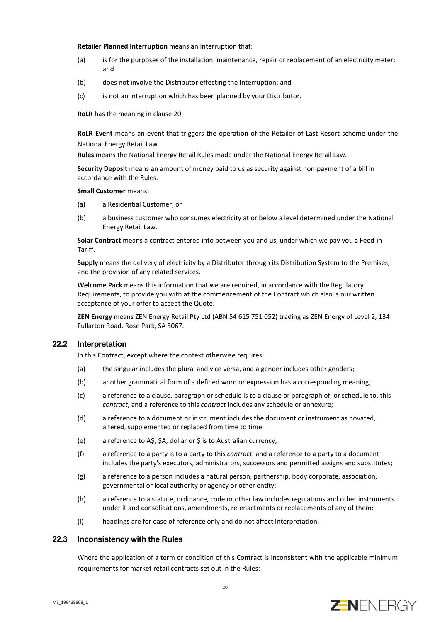#### **Retailer Planned Interruption** means an Interruption that:

- (a) is for the purposes of the installation, maintenance, repair or replacement of an electricity meter; and
- (b) does not involve the Distributor effecting the Interruption; and
- (c) is not an Interruption which has been planned by your Distributor.

**RoLR** has the meaning in clause [20.](#page-16-1)

**RoLR Event** means an event that triggers the operation of the Retailer of Last Resort scheme under the National Energy Retail Law.

**Rules** means the National Energy Retail Rules made under the National Energy Retail Law.

**Security Deposit** means an amount of money paid to us as security against non-payment of a bill in accordance with the Rules.

**Small Customer** means:

- (a) a Residential Customer; or
- (b) a business customer who consumes electricity at or below a level determined under the National Energy Retail Law.

**Solar Contract** means a contract entered into between you and us, under which we pay you a Feed-in Tariff.

**Supply** means the delivery of electricity by a Distributor through its Distribution System to the Premises, and the provision of any related services.

**Welcome Pack** means this information that we are required, in accordance with the Regulatory Requirements, to provide you with at the commencement of the Contract which also is our written acceptance of your offer to accept the Quote.

**ZEN Energy** means ZEN Energy Retail Pty Ltd (ABN 54 615 751 052) trading as ZEN Energy of Level 2, 134 Fullarton Road, Rose Park, SA 5067.

#### **22.2 Interpretation**

In this Contract, except where the context otherwise requires:

- (a) the singular includes the plural and vice versa, and a gender includes other genders;
- (b) another grammatical form of a defined word or expression has a corresponding meaning;
- (c) a reference to a clause, paragraph or schedule is to a clause or paragraph of, or schedule to, this *contract*, and a reference to this *contract* includes any schedule or annexure;
- (d) a reference to a document or instrument includes the document or instrument as novated, altered, supplemented or replaced from time to time;
- (e) a reference to A\$, \$A, dollar or \$ is to Australian currency;
- (f) a reference to a party is to a party to this *contract*, and a reference to a party to a document includes the party's executors, administrators, successors and permitted assigns and substitutes;
- (g) a reference to a person includes a natural person, partnership, body corporate, association, governmental or local authority or agency or other entity;
- (h) a reference to a statute, ordinance, code or other law includes regulations and other instruments under it and consolidations, amendments, re-enactments or replacements of any of them;
- (i) headings are for ease of reference only and do not affect interpretation.

#### **22.3 Inconsistency with the Rules**

Where the application of a term or condition of this Contract is inconsistent with the applicable minimum requirements for market retail contracts set out in the Rules: